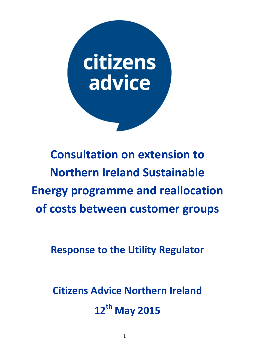

# **Consultation on extension to Northern Ireland Sustainable Energy programme and reallocation of costs between customer groups**

**Response to the Utility Regulator**

**Citizens Advice Northern Ireland 12th May 2015**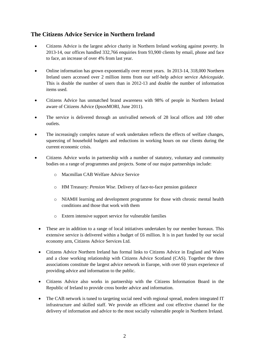## **The Citizens Advice Service in Northern Ireland**

- Citizens Advice is the largest advice charity in Northern Ireland working against poverty. In 2013-14, our offices handled 332,766 enquiries from 93,900 clients by email, phone and face to face, an increase of over 4% from last year.
- Online information has grown exponentially over recent years. In 2013-14, 318,000 Northern Ireland users accessed over 2 million items from our self-help advice service *Adviceguide*. This is double the number of users than in 2012-13 and double the number of information items used.
- Citizens Advice has unmatched brand awareness with 98% of people in Northern Ireland aware of Citizens Advice (IpsosMORI, June 2011).
- The service is delivered through an unrivalled network of 28 local offices and 100 other outlets.
- The increasingly complex nature of work undertaken reflects the effects of welfare changes, squeezing of household budgets and reductions in working hours on our clients during the current economic crisis.
- Citizens Advice works in partnership with a number of statutory, voluntary and community bodies on a range of programmes and projects. Some of our major partnerships include:
	- o Macmillan CAB Welfare Advice Service
	- o HM Treasury: *Pension Wise*. Delivery of face-to-face pension guidance
	- o NIAMH learning and development programme for those with chronic mental health conditions and those that work with them
	- o Extern intensive support service for vulnerable families
	- These are in addition to a range of local initiatives undertaken by our member bureaux. This extensive service is delivered within a budget of £6 million. It is in part funded by our social economy arm, Citizens Advice Services Ltd.
	- Citizens Advice Northern Ireland has formal links to Citizens Advice in England and Wales and a close working relationship with Citizens Advice Scotland (CAS). Together the three associations constitute the largest advice network in Europe, with over 60 years experience of providing advice and information to the public.
	- Citizens Advice also works in partnership with the Citizens Information Board in the Republic of Ireland to provide cross border advice and information.
	- The CAB network is tuned to targeting social need with regional spread, modern integrated IT infrastructure and skilled staff. We provide an efficient and cost effective channel for the delivery of information and advice to the most socially vulnerable people in Northern Ireland.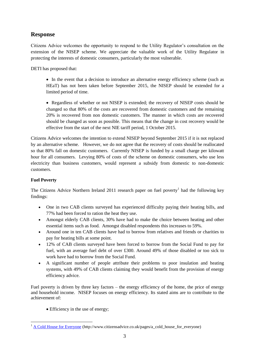# **Response**

Citizens Advice welcomes the opportunity to respond to the Utility Regulator's consultation on the extension of the NISEP scheme. We appreciate the valuable work of the Utility Regulator in protecting the interests of domestic consumers, particularly the most vulnerable.

DETI has proposed that:

- In the event that a decision to introduce an alternative energy efficiency scheme (such as HEaT) has not been taken before September 2015, the NISEP should be extended for a limited period of time.
- Regardless of whether or not NISEP is extended; the recovery of NISEP costs should be changed so that 80% of the costs are recovered from domestic customers and the remaining 20% is recovered from non domestic customers. The manner in which costs are recovered should be changed as soon as possible. This means that the change in cost recovery would be effective from the start of the next NIE tariff period, 1 October 2015.

Citizens Advice welcomes the intention to extend NISEP beyond September 2015 if it is not replaced by an alternative scheme. However, we do not agree that the recovery of costs should be reallocated so that 80% fall on domestic customers. Currently NISEP is funded by a small charge per kilowatt hour for all consumers. Levying 80% of costs of the scheme on domestic consumers, who use less electricity than business customers, would represent a subsidy from domestic to non-domestic customers.

## **Fuel Poverty**

1

The Citizens Advice Northern Ireland 2011 research paper on fuel poverty<sup>1</sup> had the following key findings:

- One in two CAB clients surveyed has experienced difficulty paying their heating bills, and 77% had been forced to ration the heat they use.
- Amongst elderly CAB clients, 30% have had to make the choice between heating and other essential items such as food. Amongst disabled respondents this increases to 59%.
- Around one in ten CAB clients have had to borrow from relatives and friends or charities to pay for heating bills at some point.
- 12% of CAB clients surveyed have been forced to borrow from the Social Fund to pay for fuel, with an average fuel debt of over £300. Around 49% of those disabled or too sick to work have had to borrow from the Social Fund.
- A significant number of people attribute their problems to poor insulation and heating systems, with 49% of CAB clients claiming they would benefit from the provision of energy efficiency advice.

Fuel poverty is driven by three key factors – the energy efficiency of the home, the price of energy and household income. NISEP focuses on energy efficiency. Its stated aims are to contribute to the achievement of:

Efficiency in the use of energy;

<sup>&</sup>lt;sup>1</sup> [A Cold House for Everyone](http://www.citizensadvice.co.uk/pages/a_cold_house_for_everyone) (http://www.citizensadvice.co.uk/pages/a\_cold\_house\_for\_everyone)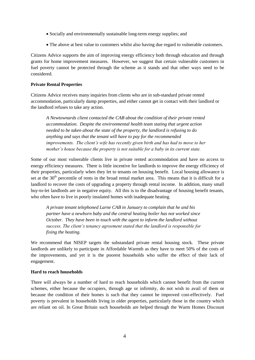- Socially and environmentally sustainable long-term energy supplies; and
- The above at best value to customers whilst also having due regard to vulnerable customers.

Citizens Advice supports the aim of improving energy efficiency both through education and through grants for home improvement measures. However, we suggest that certain vulnerable customers in fuel poverty cannot be protected through the scheme as it stands and that other ways need to be considered.

### **Private Rental Properties**

Citizens Advice receives many inquiries from clients who are in sub-standard private rented accommodation, particularly damp properties, and either cannot get in contact with their landlord or the landlord refuses to take any action.

*A Newtownards client contacted the CAB about the condition of their private rented accommodation. Despite the environmental health team stating that urgent action needed to be taken about the state of the property, the landlord is refusing to do anything and says that the tenant will have to pay for the recommended improvements. The client's wife has recently given birth and has had to move to her mother's house because the property is not suitable for a baby in its current state.* 

Some of our most vulnerable clients live in private rented accommodation and have no access to energy efficiency measures. There is little incentive for landlords to improve the energy efficiency of their properties, particularly when they let to tenants on housing benefit. Local housing allowance is set at the  $30<sup>th</sup>$  percentile of rents in the broad rental market area. This means that it is difficult for a landlord to recover the costs of upgrading a property through rental income. In addition, many small buy-to-let landlords are in negative equity. All this is to the disadvantage of housing benefit tenants, who often have to live in poorly insulated homes with inadequate heating.

*A private tenant telephoned Larne CAB in January to complain that he and his partner have a newborn baby and the central heating boiler has not worked since October. They have been in touch with the agent to inform the landlord without success. The client's tenancy agreement stated that the landlord is responsible for fixing the heating.*

We recommend that NISEP targets the substandard private rental housing stock. These private landlords are unlikely to participate in Affordable Warmth as they have to meet 50% of the costs of the improvements, and yet it is the poorest households who suffer the effect of their lack of engagement.

#### **Hard to reach households**

There will always be a number of hard to reach households which cannot benefit from the current schemes, either because the occupiers, through age or infirmity, do not wish to avail of them or because the condition of their homes is such that they cannot be improved cost-effectively. Fuel poverty is prevalent in households living in older properties, particularly those in the country which are reliant on oil. In Great Britain such households are helped through the Warm Homes Discount